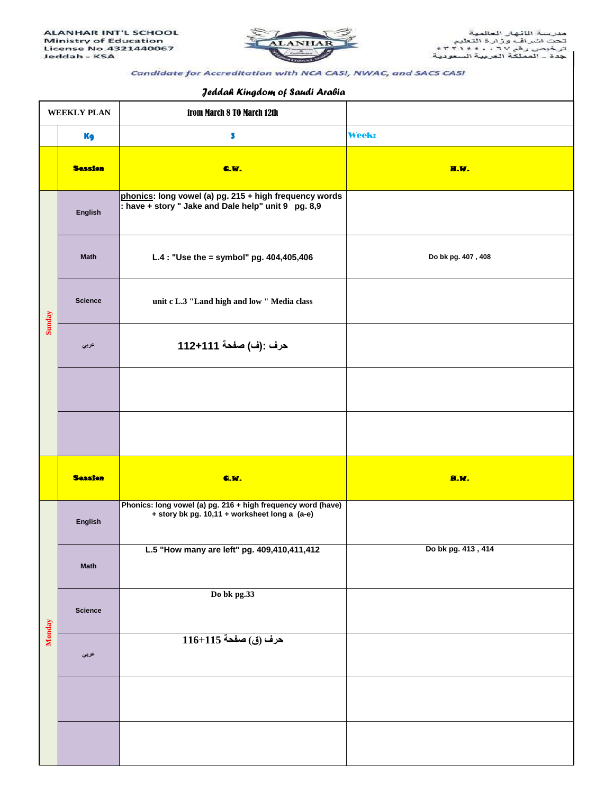

## Candidate for Accreditation with NCA CASI, NWAC, and SACS CASI

## *Jeddah Kingdom of Saudi Arabia*

| $\ddotsc$          |                |                                                                                                               |                    |  |  |
|--------------------|----------------|---------------------------------------------------------------------------------------------------------------|--------------------|--|--|
| <b>WEEKLY PLAN</b> |                | from March 8 TO March 12th                                                                                    |                    |  |  |
|                    | <b>Kg</b>      | 5                                                                                                             | <b>Week:</b>       |  |  |
|                    | <b>Session</b> | <b>C.W.</b>                                                                                                   | H.W.               |  |  |
| Sunday             | English        | phonics: long vowel (a) pg. 215 + high frequency words<br>: have + story " Jake and Dale help" unit 9 pg. 8,9 |                    |  |  |
|                    | <b>Math</b>    | L.4 : "Use the = symbol" pg. $404,405,406$                                                                    | Do bk pg. 407, 408 |  |  |
|                    | <b>Science</b> | unit c L.3 "Land high and low " Media class                                                                   |                    |  |  |
|                    | عربي           | حرف :(ف) صفحة 111+112                                                                                         |                    |  |  |
|                    |                |                                                                                                               |                    |  |  |
|                    |                |                                                                                                               |                    |  |  |
|                    | <b>Session</b> | C.W.                                                                                                          | H.W.               |  |  |
| Monday             | English        | Phonics: long vowel (a) pg. 216 + high frequency word (have)<br>+ story bk pg. 10,11 + worksheet long a (a-e) |                    |  |  |
|                    | <b>Math</b>    | L.5 "How many are left" pg. 409,410,411,412                                                                   | Do bk pg. 413, 414 |  |  |
|                    | <b>Science</b> | Do bk pg.33                                                                                                   |                    |  |  |
|                    | عربي           | حرف (ق) صفحة 115+116                                                                                          |                    |  |  |
|                    |                |                                                                                                               |                    |  |  |
|                    |                |                                                                                                               |                    |  |  |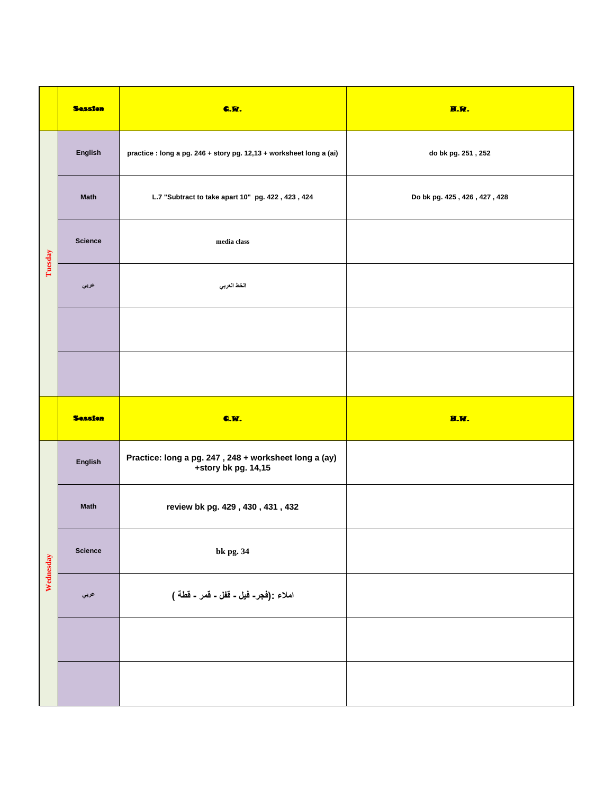|           | <b>Session</b> | <b>C.W.</b>                                                                  | H.W.                         |
|-----------|----------------|------------------------------------------------------------------------------|------------------------------|
| Tuesday   | English        | practice : long a pg. 246 + story pg. 12,13 + worksheet long a (ai)          | do bk pg. 251, 252           |
|           | <b>Math</b>    | L.7 "Subtract to take apart 10" pg. 422, 423, 424                            | Do bk pg. 425, 426, 427, 428 |
|           | <b>Science</b> | media class                                                                  |                              |
|           | عربي           | الخط العربي                                                                  |                              |
|           |                |                                                                              |                              |
|           |                |                                                                              |                              |
|           |                |                                                                              |                              |
|           | <b>Session</b> | <b>C.W.</b>                                                                  | <b>H.W.</b>                  |
|           | English        | Practice: long a pg. 247, 248 + worksheet long a (ay)<br>+story bk pg. 14,15 |                              |
|           | <b>Math</b>    | review bk pg. 429, 430, 431, 432                                             |                              |
|           | <b>Science</b> | bk pg. 34                                                                    |                              |
| Wednesday | عربي           | املاء :(فجر- فيل ـ قفل ـ قمر ـ قطة )                                         |                              |
|           |                |                                                                              |                              |